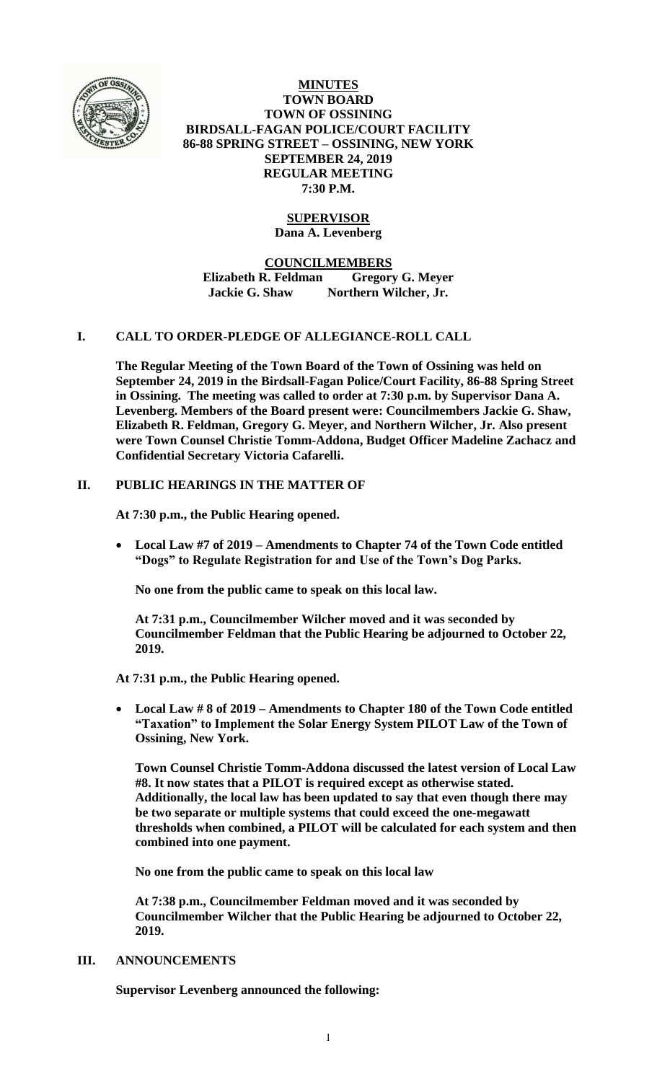

**MINUTES TOWN BOARD TOWN OF OSSINING BIRDSALL-FAGAN POLICE/COURT FACILITY 86-88 SPRING STREET – OSSINING, NEW YORK SEPTEMBER 24, 2019 REGULAR MEETING 7:30 P.M.**

# **SUPERVISOR**

**Dana A. Levenberg**

**COUNCILMEMBERS**

**Elizabeth R. Feldman Gregory G. Meyer Jackie G. Shaw Northern Wilcher, Jr.**

## **I. CALL TO ORDER-PLEDGE OF ALLEGIANCE-ROLL CALL**

**The Regular Meeting of the Town Board of the Town of Ossining was held on September 24, 2019 in the Birdsall-Fagan Police/Court Facility, 86-88 Spring Street in Ossining. The meeting was called to order at 7:30 p.m. by Supervisor Dana A. Levenberg. Members of the Board present were: Councilmembers Jackie G. Shaw, Elizabeth R. Feldman, Gregory G. Meyer, and Northern Wilcher, Jr. Also present were Town Counsel Christie Tomm-Addona, Budget Officer Madeline Zachacz and Confidential Secretary Victoria Cafarelli.** 

## **II. PUBLIC HEARINGS IN THE MATTER OF**

**At 7:30 p.m., the Public Hearing opened.**

 **Local Law #7 of 2019 – Amendments to Chapter 74 of the Town Code entitled "Dogs" to Regulate Registration for and Use of the Town's Dog Parks.**

**No one from the public came to speak on this local law.**

**At 7:31 p.m., Councilmember Wilcher moved and it was seconded by Councilmember Feldman that the Public Hearing be adjourned to October 22, 2019.** 

**At 7:31 p.m., the Public Hearing opened.**

 **Local Law # 8 of 2019 – Amendments to Chapter 180 of the Town Code entitled "Taxation" to Implement the Solar Energy System PILOT Law of the Town of Ossining, New York.**

**Town Counsel Christie Tomm-Addona discussed the latest version of Local Law #8. It now states that a PILOT is required except as otherwise stated. Additionally, the local law has been updated to say that even though there may be two separate or multiple systems that could exceed the one-megawatt thresholds when combined, a PILOT will be calculated for each system and then combined into one payment.**

**No one from the public came to speak on this local law**

**At 7:38 p.m., Councilmember Feldman moved and it was seconded by Councilmember Wilcher that the Public Hearing be adjourned to October 22, 2019.** 

### **III. ANNOUNCEMENTS**

**Supervisor Levenberg announced the following:**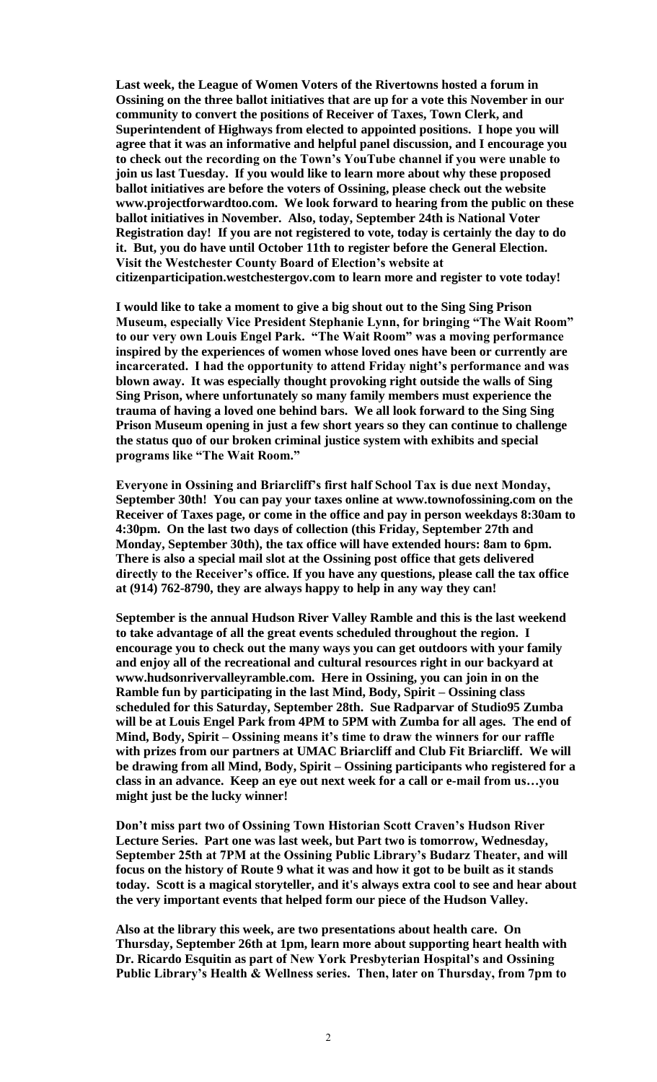**Last week, the League of Women Voters of the Rivertowns hosted a forum in Ossining on the three ballot initiatives that are up for a vote this November in our community to convert the positions of Receiver of Taxes, Town Clerk, and Superintendent of Highways from elected to appointed positions. I hope you will agree that it was an informative and helpful panel discussion, and I encourage you to check out the recording on the Town's YouTube channel if you were unable to join us last Tuesday. If you would like to learn more about why these proposed ballot initiatives are before the voters of Ossining, please check out the website www.projectforwardtoo.com. We look forward to hearing from the public on these ballot initiatives in November. Also, today, September 24th is National Voter Registration day! If you are not registered to vote, today is certainly the day to do it. But, you do have until October 11th to register before the General Election. Visit the Westchester County Board of Election's website at citizenparticipation.westchestergov.com to learn more and register to vote today!** 

**I would like to take a moment to give a big shout out to the Sing Sing Prison Museum, especially Vice President Stephanie Lynn, for bringing "The Wait Room" to our very own Louis Engel Park. "The Wait Room" was a moving performance inspired by the experiences of women whose loved ones have been or currently are incarcerated. I had the opportunity to attend Friday night's performance and was blown away. It was especially thought provoking right outside the walls of Sing Sing Prison, where unfortunately so many family members must experience the trauma of having a loved one behind bars. We all look forward to the Sing Sing Prison Museum opening in just a few short years so they can continue to challenge the status quo of our broken criminal justice system with exhibits and special programs like "The Wait Room."** 

**Everyone in Ossining and Briarcliff's first half School Tax is due next Monday, September 30th! You can pay your taxes online at www.townofossining.com on the Receiver of Taxes page, or come in the office and pay in person weekdays 8:30am to 4:30pm. On the last two days of collection (this Friday, September 27th and Monday, September 30th), the tax office will have extended hours: 8am to 6pm. There is also a special mail slot at the Ossining post office that gets delivered directly to the Receiver's office. If you have any questions, please call the tax office at (914) 762-8790, they are always happy to help in any way they can!**

**September is the annual Hudson River Valley Ramble and this is the last weekend to take advantage of all the great events scheduled throughout the region. I encourage you to check out the many ways you can get outdoors with your family and enjoy all of the recreational and cultural resources right in our backyard at www.hudsonrivervalleyramble.com. Here in Ossining, you can join in on the Ramble fun by participating in the last Mind, Body, Spirit – Ossining class scheduled for this Saturday, September 28th. Sue Radparvar of Studio95 Zumba will be at Louis Engel Park from 4PM to 5PM with Zumba for all ages. The end of Mind, Body, Spirit – Ossining means it's time to draw the winners for our raffle with prizes from our partners at UMAC Briarcliff and Club Fit Briarcliff. We will be drawing from all Mind, Body, Spirit – Ossining participants who registered for a class in an advance. Keep an eye out next week for a call or e-mail from us…you might just be the lucky winner!** 

**Don't miss part two of Ossining Town Historian Scott Craven's Hudson River Lecture Series. Part one was last week, but Part two is tomorrow, Wednesday, September 25th at 7PM at the Ossining Public Library's Budarz Theater, and will focus on the history of Route 9 what it was and how it got to be built as it stands today. Scott is a magical storyteller, and it's always extra cool to see and hear about the very important events that helped form our piece of the Hudson Valley.** 

**Also at the library this week, are two presentations about health care. On Thursday, September 26th at 1pm, learn more about supporting heart health with Dr. Ricardo Esquitin as part of New York Presbyterian Hospital's and Ossining Public Library's Health & Wellness series. Then, later on Thursday, from 7pm to**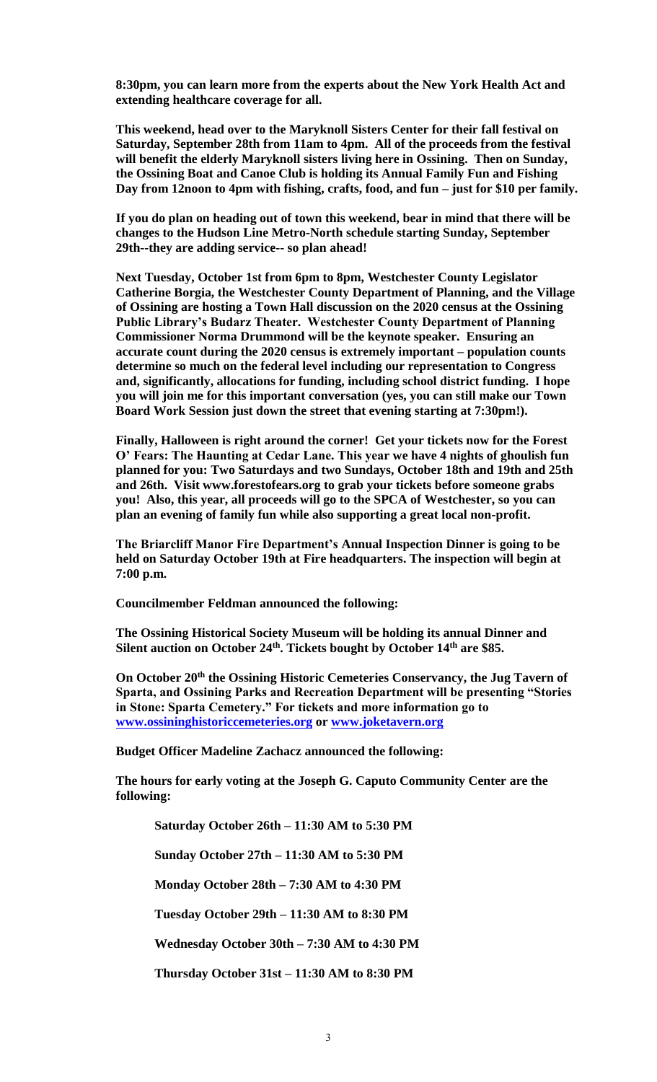**8:30pm, you can learn more from the experts about the New York Health Act and extending healthcare coverage for all.** 

**This weekend, head over to the Maryknoll Sisters Center for their fall festival on Saturday, September 28th from 11am to 4pm. All of the proceeds from the festival will benefit the elderly Maryknoll sisters living here in Ossining. Then on Sunday, the Ossining Boat and Canoe Club is holding its Annual Family Fun and Fishing Day from 12noon to 4pm with fishing, crafts, food, and fun – just for \$10 per family.** 

**If you do plan on heading out of town this weekend, bear in mind that there will be changes to the Hudson Line Metro-North schedule starting Sunday, September 29th--they are adding service-- so plan ahead!**

**Next Tuesday, October 1st from 6pm to 8pm, Westchester County Legislator Catherine Borgia, the Westchester County Department of Planning, and the Village of Ossining are hosting a Town Hall discussion on the 2020 census at the Ossining Public Library's Budarz Theater. Westchester County Department of Planning Commissioner Norma Drummond will be the keynote speaker. Ensuring an accurate count during the 2020 census is extremely important – population counts determine so much on the federal level including our representation to Congress and, significantly, allocations for funding, including school district funding. I hope you will join me for this important conversation (yes, you can still make our Town Board Work Session just down the street that evening starting at 7:30pm!).** 

**Finally, Halloween is right around the corner! Get your tickets now for the Forest O' Fears: The Haunting at Cedar Lane. This year we have 4 nights of ghoulish fun planned for you: Two Saturdays and two Sundays, October 18th and 19th and 25th and 26th. Visit www.forestofears.org to grab your tickets before someone grabs you! Also, this year, all proceeds will go to the SPCA of Westchester, so you can plan an evening of family fun while also supporting a great local non-profit.**

**The Briarcliff Manor Fire Department's Annual Inspection Dinner is going to be held on Saturday October 19th at Fire headquarters. The inspection will begin at 7:00 p.m.**

**Councilmember Feldman announced the following:**

**The Ossining Historical Society Museum will be holding its annual Dinner and Silent auction on October 24th. Tickets bought by October 14th are \$85.** 

**On October 20th the Ossining Historic Cemeteries Conservancy, the Jug Tavern of Sparta, and Ossining Parks and Recreation Department will be presenting "Stories in Stone: Sparta Cemetery." For tickets and more information go to [www.ossininghistoriccemeteries.org](http://www.ossininghistoriccemeteries.org/) or [www.joketavern.org](http://www.joketavern.org/)**

**Budget Officer Madeline Zachacz announced the following:**

**The hours for early voting at the Joseph G. Caputo Community Center are the following:**

**Saturday October 26th – 11:30 AM to 5:30 PM**

**Sunday October 27th – 11:30 AM to 5:30 PM**

**Monday October 28th – 7:30 AM to 4:30 PM** 

**Tuesday October 29th – 11:30 AM to 8:30 PM**

**Wednesday October 30th – 7:30 AM to 4:30 PM**

**Thursday October 31st – 11:30 AM to 8:30 PM**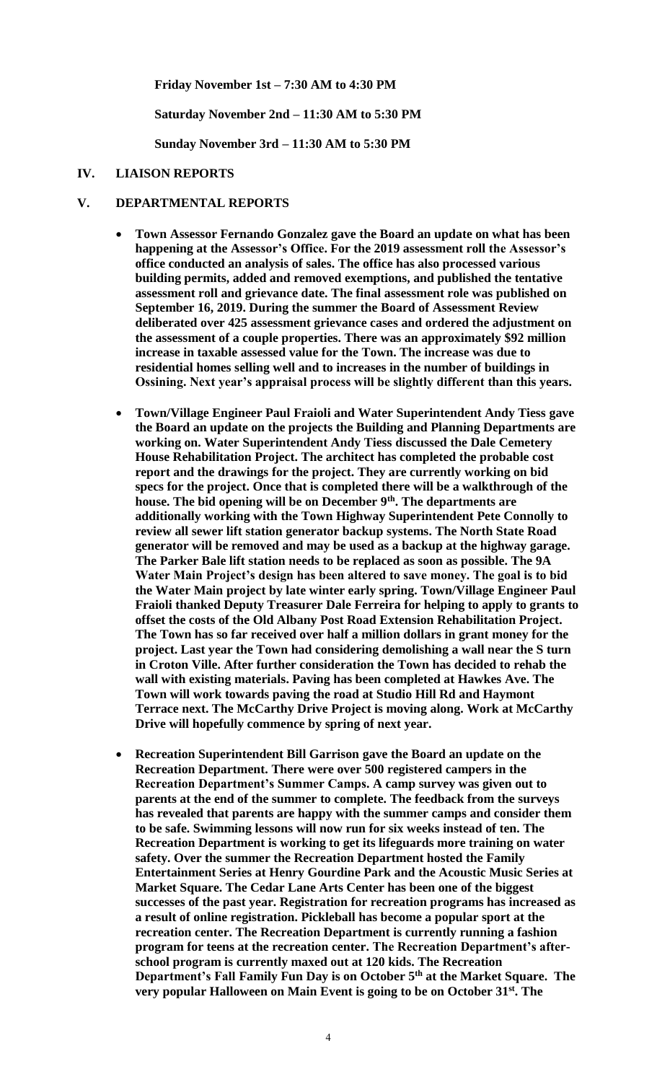**Friday November 1st – 7:30 AM to 4:30 PM**

**Saturday November 2nd – 11:30 AM to 5:30 PM**

**Sunday November 3rd – 11:30 AM to 5:30 PM**

#### **IV. LIAISON REPORTS**

#### **V. DEPARTMENTAL REPORTS**

- **Town Assessor Fernando Gonzalez gave the Board an update on what has been happening at the Assessor's Office. For the 2019 assessment roll the Assessor's office conducted an analysis of sales. The office has also processed various building permits, added and removed exemptions, and published the tentative assessment roll and grievance date. The final assessment role was published on September 16, 2019. During the summer the Board of Assessment Review deliberated over 425 assessment grievance cases and ordered the adjustment on the assessment of a couple properties. There was an approximately \$92 million increase in taxable assessed value for the Town. The increase was due to residential homes selling well and to increases in the number of buildings in Ossining. Next year's appraisal process will be slightly different than this years.**
- **Town/Village Engineer Paul Fraioli and Water Superintendent Andy Tiess gave the Board an update on the projects the Building and Planning Departments are working on. Water Superintendent Andy Tiess discussed the Dale Cemetery House Rehabilitation Project. The architect has completed the probable cost report and the drawings for the project. They are currently working on bid specs for the project. Once that is completed there will be a walkthrough of the house. The bid opening will be on December 9th . The departments are additionally working with the Town Highway Superintendent Pete Connolly to review all sewer lift station generator backup systems. The North State Road generator will be removed and may be used as a backup at the highway garage. The Parker Bale lift station needs to be replaced as soon as possible. The 9A Water Main Project's design has been altered to save money. The goal is to bid the Water Main project by late winter early spring. Town/Village Engineer Paul Fraioli thanked Deputy Treasurer Dale Ferreira for helping to apply to grants to offset the costs of the Old Albany Post Road Extension Rehabilitation Project. The Town has so far received over half a million dollars in grant money for the project. Last year the Town had considering demolishing a wall near the S turn in Croton Ville. After further consideration the Town has decided to rehab the wall with existing materials. Paving has been completed at Hawkes Ave. The Town will work towards paving the road at Studio Hill Rd and Haymont Terrace next. The McCarthy Drive Project is moving along. Work at McCarthy Drive will hopefully commence by spring of next year.**
- **Recreation Superintendent Bill Garrison gave the Board an update on the Recreation Department. There were over 500 registered campers in the Recreation Department's Summer Camps. A camp survey was given out to parents at the end of the summer to complete. The feedback from the surveys has revealed that parents are happy with the summer camps and consider them to be safe. Swimming lessons will now run for six weeks instead of ten. The Recreation Department is working to get its lifeguards more training on water safety. Over the summer the Recreation Department hosted the Family Entertainment Series at Henry Gourdine Park and the Acoustic Music Series at Market Square. The Cedar Lane Arts Center has been one of the biggest successes of the past year. Registration for recreation programs has increased as a result of online registration. Pickleball has become a popular sport at the recreation center. The Recreation Department is currently running a fashion program for teens at the recreation center. The Recreation Department's afterschool program is currently maxed out at 120 kids. The Recreation Department's Fall Family Fun Day is on October 5th at the Market Square. The very popular Halloween on Main Event is going to be on October 31st. The**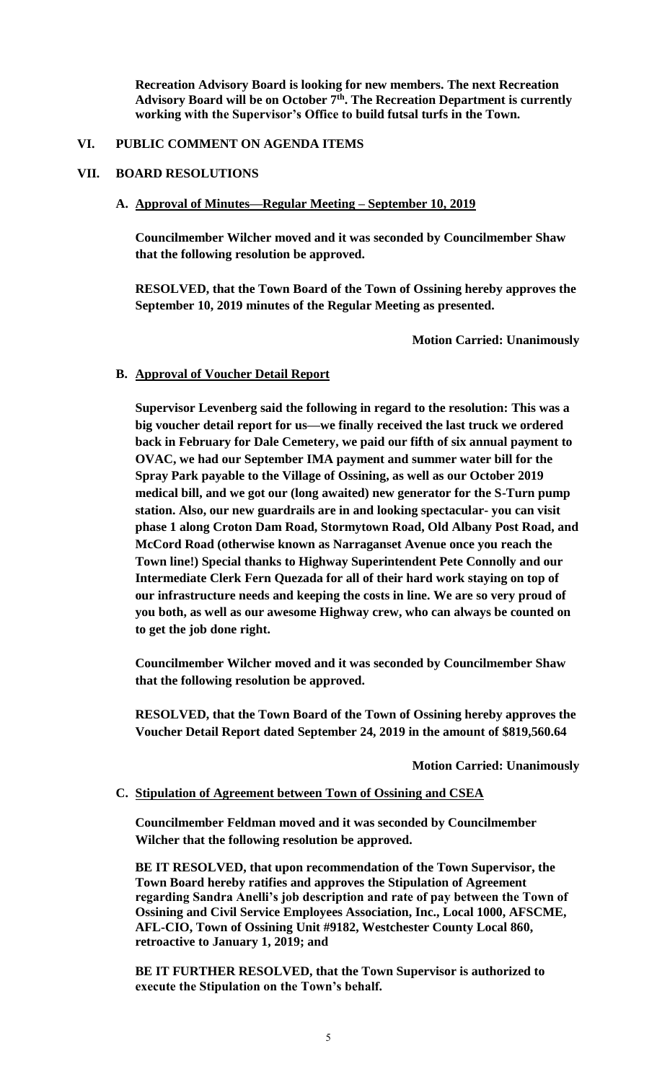**Recreation Advisory Board is looking for new members. The next Recreation Advisory Board will be on October 7th. The Recreation Department is currently working with the Supervisor's Office to build futsal turfs in the Town.** 

#### **VI. PUBLIC COMMENT ON AGENDA ITEMS**

#### **VII. BOARD RESOLUTIONS**

#### **A. Approval of Minutes—Regular Meeting – September 10, 2019**

**Councilmember Wilcher moved and it was seconded by Councilmember Shaw that the following resolution be approved.**

**RESOLVED, that the Town Board of the Town of Ossining hereby approves the September 10, 2019 minutes of the Regular Meeting as presented.**

**Motion Carried: Unanimously**

#### **B. Approval of Voucher Detail Report**

**Supervisor Levenberg said the following in regard to the resolution: This was a big voucher detail report for us—we finally received the last truck we ordered back in February for Dale Cemetery, we paid our fifth of six annual payment to OVAC, we had our September IMA payment and summer water bill for the Spray Park payable to the Village of Ossining, as well as our October 2019 medical bill, and we got our (long awaited) new generator for the S-Turn pump station. Also, our new guardrails are in and looking spectacular- you can visit phase 1 along Croton Dam Road, Stormytown Road, Old Albany Post Road, and McCord Road (otherwise known as Narraganset Avenue once you reach the Town line!) Special thanks to Highway Superintendent Pete Connolly and our Intermediate Clerk Fern Quezada for all of their hard work staying on top of our infrastructure needs and keeping the costs in line. We are so very proud of you both, as well as our awesome Highway crew, who can always be counted on to get the job done right.**

**Councilmember Wilcher moved and it was seconded by Councilmember Shaw that the following resolution be approved.**

**RESOLVED, that the Town Board of the Town of Ossining hereby approves the Voucher Detail Report dated September 24, 2019 in the amount of \$819,560.64**

**Motion Carried: Unanimously**

#### **C. Stipulation of Agreement between Town of Ossining and CSEA**

**Councilmember Feldman moved and it was seconded by Councilmember Wilcher that the following resolution be approved.**

**BE IT RESOLVED, that upon recommendation of the Town Supervisor, the Town Board hereby ratifies and approves the Stipulation of Agreement regarding Sandra Anelli's job description and rate of pay between the Town of Ossining and Civil Service Employees Association, Inc., Local 1000, AFSCME, AFL-CIO, Town of Ossining Unit #9182, Westchester County Local 860, retroactive to January 1, 2019; and**

**BE IT FURTHER RESOLVED, that the Town Supervisor is authorized to execute the Stipulation on the Town's behalf.**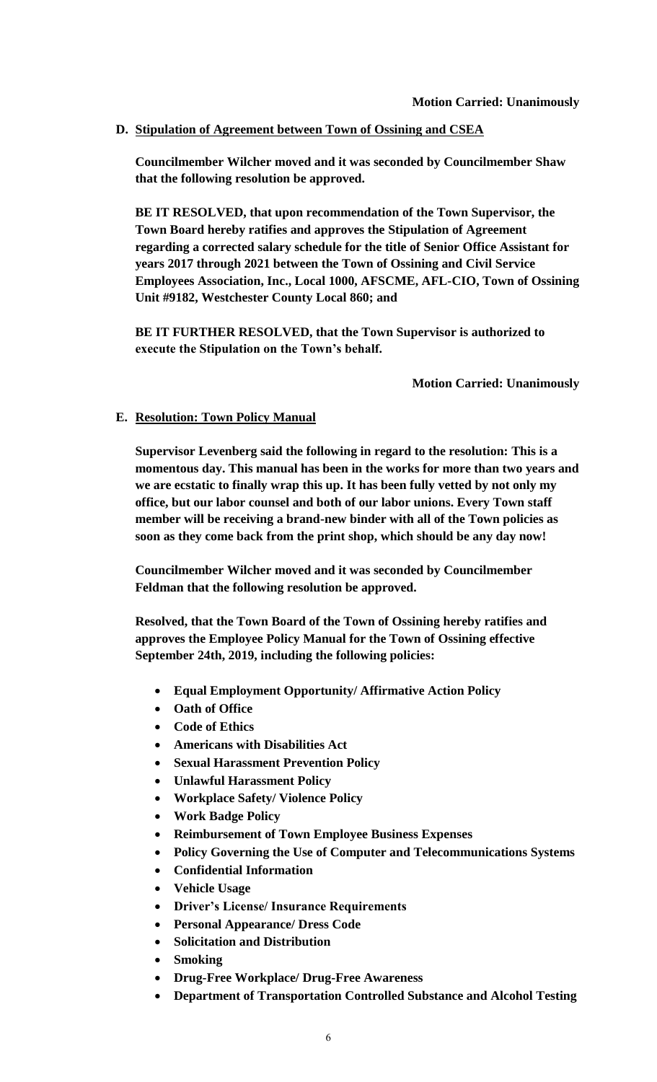**D. Stipulation of Agreement between Town of Ossining and CSEA**

**Councilmember Wilcher moved and it was seconded by Councilmember Shaw that the following resolution be approved.**

**BE IT RESOLVED, that upon recommendation of the Town Supervisor, the Town Board hereby ratifies and approves the Stipulation of Agreement regarding a corrected salary schedule for the title of Senior Office Assistant for years 2017 through 2021 between the Town of Ossining and Civil Service Employees Association, Inc., Local 1000, AFSCME, AFL-CIO, Town of Ossining Unit #9182, Westchester County Local 860; and**

**BE IT FURTHER RESOLVED, that the Town Supervisor is authorized to execute the Stipulation on the Town's behalf.**

**Motion Carried: Unanimously**

### **E. Resolution: Town Policy Manual**

**Supervisor Levenberg said the following in regard to the resolution: This is a momentous day. This manual has been in the works for more than two years and we are ecstatic to finally wrap this up. It has been fully vetted by not only my office, but our labor counsel and both of our labor unions. Every Town staff member will be receiving a brand-new binder with all of the Town policies as soon as they come back from the print shop, which should be any day now!**

**Councilmember Wilcher moved and it was seconded by Councilmember Feldman that the following resolution be approved.**

**Resolved, that the Town Board of the Town of Ossining hereby ratifies and approves the Employee Policy Manual for the Town of Ossining effective September 24th, 2019, including the following policies:**

- **Equal Employment Opportunity/ Affirmative Action Policy**
- **Oath of Office**
- **Code of Ethics**
- **Americans with Disabilities Act**
- **Sexual Harassment Prevention Policy**
- **Unlawful Harassment Policy**
- **Workplace Safety/ Violence Policy**
- **Work Badge Policy**
- **Reimbursement of Town Employee Business Expenses**
- **Policy Governing the Use of Computer and Telecommunications Systems**
- **Confidential Information**
- **Vehicle Usage**
- **Driver's License/ Insurance Requirements**
- **Personal Appearance/ Dress Code**
- **Solicitation and Distribution**
- **Smoking**
- **Drug-Free Workplace/ Drug-Free Awareness**
- **Department of Transportation Controlled Substance and Alcohol Testing**